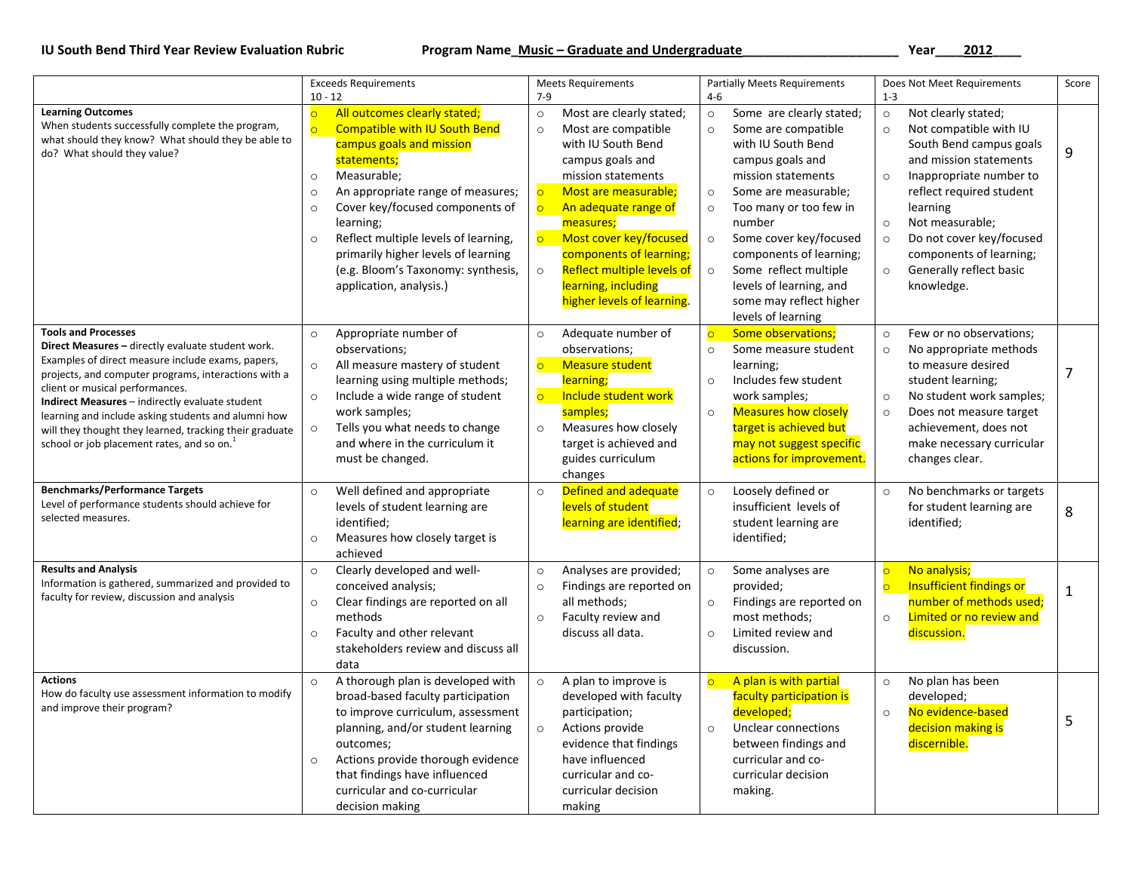## IU South Bend Third Year Review Evaluation Rubric **Notice 2012 Marken Program Name**\_Music - Graduate and Undergraduate Marken Marken 2012 Marken 2012

|                                                                                                                                                                                                                                                                                                                                                                                                                                                                | <b>Exceeds Requirements</b>                                                                                                                                                                                                                                                                                                                                                                                     | <b>Meets Requirements</b>                                                                                                                                                                                                                                                                                                                                                              | <b>Partially Meets Requirements</b>                                                                                                                                                                                                                                                                                                                                                                     | Does Not Meet Requirements                                                                                                                                                                                                                                                                                                                                 | Score          |
|----------------------------------------------------------------------------------------------------------------------------------------------------------------------------------------------------------------------------------------------------------------------------------------------------------------------------------------------------------------------------------------------------------------------------------------------------------------|-----------------------------------------------------------------------------------------------------------------------------------------------------------------------------------------------------------------------------------------------------------------------------------------------------------------------------------------------------------------------------------------------------------------|----------------------------------------------------------------------------------------------------------------------------------------------------------------------------------------------------------------------------------------------------------------------------------------------------------------------------------------------------------------------------------------|---------------------------------------------------------------------------------------------------------------------------------------------------------------------------------------------------------------------------------------------------------------------------------------------------------------------------------------------------------------------------------------------------------|------------------------------------------------------------------------------------------------------------------------------------------------------------------------------------------------------------------------------------------------------------------------------------------------------------------------------------------------------------|----------------|
|                                                                                                                                                                                                                                                                                                                                                                                                                                                                | $10 - 12$                                                                                                                                                                                                                                                                                                                                                                                                       | $7-9$                                                                                                                                                                                                                                                                                                                                                                                  | $4 - 6$                                                                                                                                                                                                                                                                                                                                                                                                 | $1 - 3$                                                                                                                                                                                                                                                                                                                                                    |                |
| <b>Learning Outcomes</b><br>When students successfully complete the program,<br>what should they know? What should they be able to<br>do? What should they value?                                                                                                                                                                                                                                                                                              | All outcomes clearly stated;<br><b>Compatible with IU South Bend</b><br>campus goals and mission<br>statements;<br>Measurable;<br>$\circ$<br>An appropriate range of measures;<br>$\circ$<br>Cover key/focused components of<br>$\circ$<br>learning;<br>Reflect multiple levels of learning,<br>$\circ$<br>primarily higher levels of learning<br>(e.g. Bloom's Taxonomy: synthesis,<br>application, analysis.) | Most are clearly stated;<br>$\circ$<br>Most are compatible<br>$\circ$<br>with IU South Bend<br>campus goals and<br>mission statements<br>Most are measurable;<br>$\circ$<br>$\circ$<br>An adequate range of<br>measures;<br>$\circ$<br>Most cover key/focused<br>components of learning;<br>Reflect multiple levels of<br>$\circ$<br>learning, including<br>higher levels of learning. | Some are clearly stated;<br>$\circ$<br>Some are compatible<br>$\circ$<br>with IU South Bend<br>campus goals and<br>mission statements<br>Some are measurable;<br>$\circ$<br>$\circ$<br>Too many or too few in<br>number<br>$\circ$<br>Some cover key/focused<br>components of learning;<br>$\circ$<br>Some reflect multiple<br>levels of learning, and<br>some may reflect higher<br>levels of learning | Not clearly stated;<br>$\circ$<br>Not compatible with IU<br>$\circ$<br>South Bend campus goals<br>and mission statements<br>Inappropriate number to<br>$\circ$<br>reflect required student<br>learning<br>Not measurable;<br>$\circ$<br>Do not cover key/focused<br>$\circ$<br>components of learning;<br>Generally reflect basic<br>$\circ$<br>knowledge. | 9              |
| <b>Tools and Processes</b><br>Direct Measures - directly evaluate student work.<br>Examples of direct measure include exams, papers,<br>projects, and computer programs, interactions with a<br>client or musical performances.<br>Indirect Measures - indirectly evaluate student<br>learning and include asking students and alumni how<br>will they thought they learned, tracking their graduate<br>school or job placement rates, and so on. <sup>1</sup> | Appropriate number of<br>$\circ$<br>observations;<br>All measure mastery of student<br>$\circ$<br>learning using multiple methods;<br>Include a wide range of student<br>$\circ$<br>work samples;<br>Tells you what needs to change<br>$\circ$<br>and where in the curriculum it<br>must be changed.                                                                                                            | Adequate number of<br>$\circ$<br>observations;<br>$\overline{\mathsf{C}}$<br><b>Measure student</b><br>learning;<br>$\circ$<br>Include student work<br>samples;<br>Measures how closely<br>$\circ$<br>target is achieved and<br>guides curriculum<br>changes                                                                                                                           | $\overline{C}$<br><b>Some observations;</b><br>Some measure student<br>$\circ$<br>learning;<br>Includes few student<br>$\circ$<br>work samples;<br><b>Measures how closely</b><br>$\circ$<br>target is achieved but<br>may not suggest specific<br>actions for improvement.                                                                                                                             | Few or no observations;<br>$\circ$<br>No appropriate methods<br>$\circ$<br>to measure desired<br>student learning;<br>No student work samples;<br>$\circ$<br>Does not measure target<br>$\circ$<br>achievement, does not<br>make necessary curricular<br>changes clear.                                                                                    | $\overline{7}$ |
| <b>Benchmarks/Performance Targets</b><br>Level of performance students should achieve for<br>selected measures.                                                                                                                                                                                                                                                                                                                                                | Well defined and appropriate<br>$\circ$<br>levels of student learning are<br>identified;<br>Measures how closely target is<br>$\circ$<br>achieved                                                                                                                                                                                                                                                               | Defined and adequate<br>$\circ$<br>levels of student<br>learning are identified;                                                                                                                                                                                                                                                                                                       | Loosely defined or<br>$\circ$<br>insufficient levels of<br>student learning are<br>identified;                                                                                                                                                                                                                                                                                                          | No benchmarks or targets<br>$\circ$<br>for student learning are<br>identified;                                                                                                                                                                                                                                                                             | 8              |
| <b>Results and Analysis</b><br>Information is gathered, summarized and provided to<br>faculty for review, discussion and analysis                                                                                                                                                                                                                                                                                                                              | Clearly developed and well-<br>$\circ$<br>conceived analysis;<br>Clear findings are reported on all<br>$\circ$<br>methods<br>Faculty and other relevant<br>$\circ$<br>stakeholders review and discuss all<br>data                                                                                                                                                                                               | Analyses are provided;<br>$\circ$<br>Findings are reported on<br>$\circ$<br>all methods;<br>Faculty review and<br>$\circ$<br>discuss all data.                                                                                                                                                                                                                                         | Some analyses are<br>$\circ$<br>provided;<br>Findings are reported on<br>$\circ$<br>most methods;<br>$\circ$<br>Limited review and<br>discussion.                                                                                                                                                                                                                                                       | No analysis;<br>$\circ$<br>Insufficient findings or<br>$\overline{\mathsf{O}}$<br>number of methods used;<br>Limited or no review and<br>$\circ$<br>discussion.                                                                                                                                                                                            | $1\,$          |
| <b>Actions</b><br>How do faculty use assessment information to modify<br>and improve their program?                                                                                                                                                                                                                                                                                                                                                            | A thorough plan is developed with<br>$\circ$<br>broad-based faculty participation<br>to improve curriculum, assessment<br>planning, and/or student learning<br>outcomes;<br>Actions provide thorough evidence<br>$\circ$<br>that findings have influenced<br>curricular and co-curricular<br>decision making                                                                                                    | A plan to improve is<br>$\circ$<br>developed with faculty<br>participation;<br>$\circ$<br>Actions provide<br>evidence that findings<br>have influenced<br>curricular and co-<br>curricular decision<br>making                                                                                                                                                                          | A plan is with partial<br>$\circ$<br>faculty participation is<br>developed;<br>Unclear connections<br>$\circ$<br>between findings and<br>curricular and co-<br>curricular decision<br>making.                                                                                                                                                                                                           | No plan has been<br>$\circ$<br>developed;<br>No evidence-based<br>$\circ$<br>decision making is<br>discernible.                                                                                                                                                                                                                                            | 5              |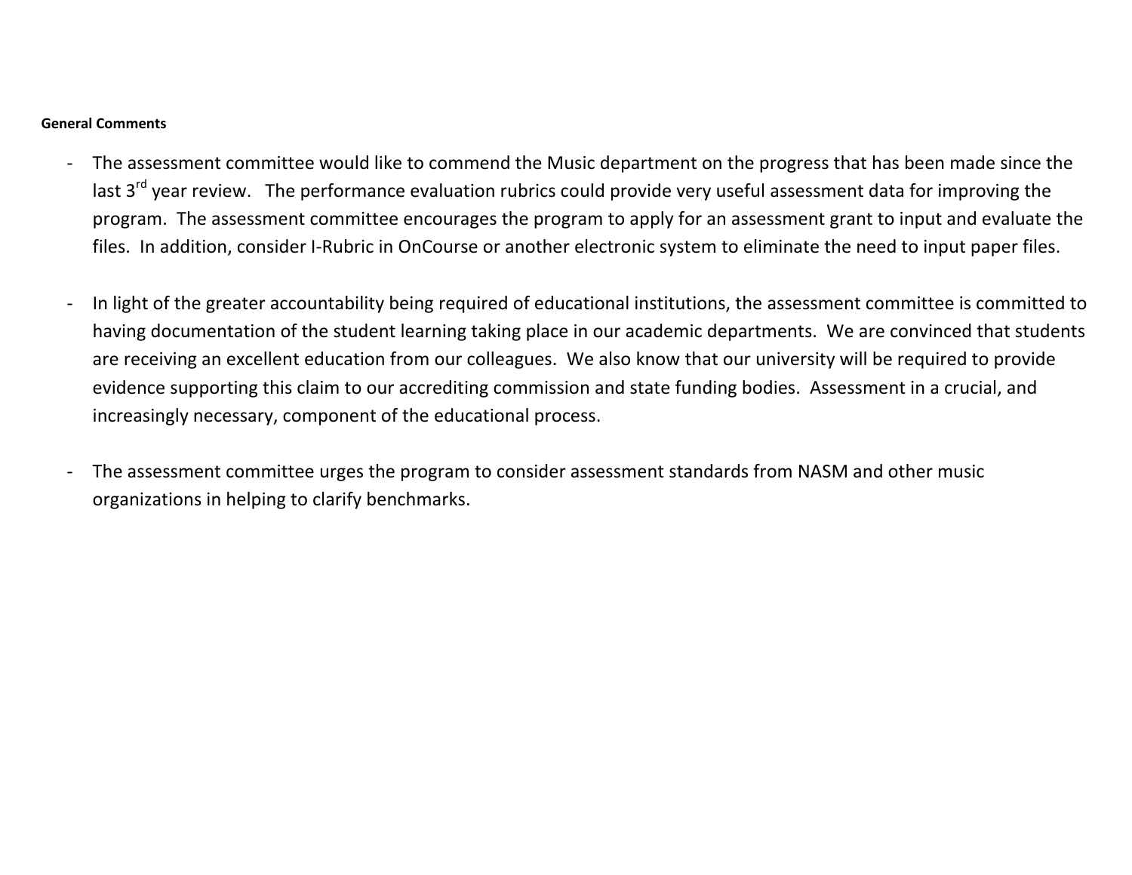## **General Comments**

- ‐ The assessment committee would like to commend the Music department on the progress that has been made since the last 3<sup>rd</sup> year review. The performance evaluation rubrics could provide very useful assessment data for improving the program. The assessment committee encourages the program to apply for an assessment grant to input and evaluate the files. In addition, consider I‐Rubric in OnCourse or another electronic system to eliminate the need to input paper files.
- ‐ In light of the greater accountability being required of educational institutions, the assessment committee is committed to having documentation of the student learning taking place in our academic departments. We are convinced that students are receiving an excellent education from our colleagues. We also know that our university will be required to provide evidence supporting this claim to our accrediting commission and state funding bodies. Assessment in a crucial, and increasingly necessary, component of the educational process.
- ‐ The assessment committee urges the program to consider assessment standards from NASM and other music organizations in helping to clarify benchmarks.